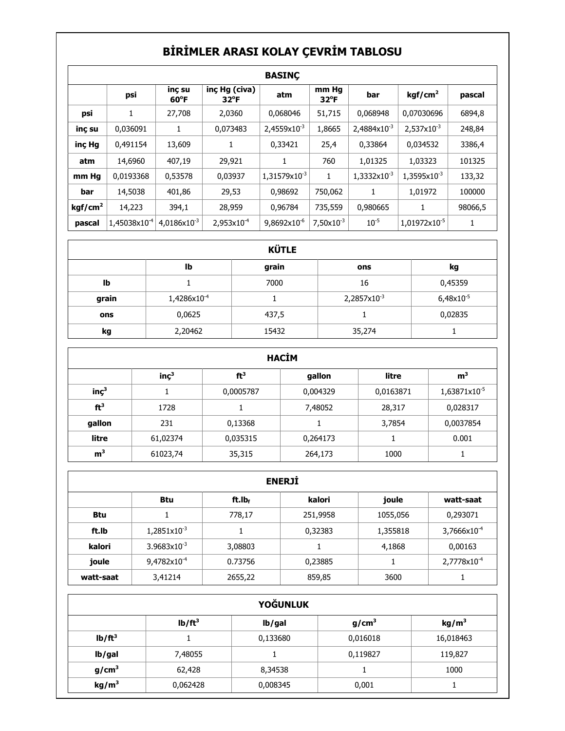## **BİRİMLER ARASI KOLAY ÇEVRİM TABLOSU**

|                     | <b>BASINC</b>     |                          |                                |                         |                        |                       |                        |         |
|---------------------|-------------------|--------------------------|--------------------------------|-------------------------|------------------------|-----------------------|------------------------|---------|
|                     | psi               | inc su<br>$60^{\circ}$ F | inç Hg (civa)<br>$32^{\circ}F$ | atm                     | mm Hg<br>$32^{\circ}F$ | bar                   | kgf/cm <sup>2</sup>    | pascal  |
| psi                 | 1                 | 27,708                   | 2,0360                         | 0,068046                | 51,715                 | 0,068948              | 0,07030696             | 6894,8  |
| inç su              | 0,036091          | 1                        | 0,073483                       | $2,4559\times10^{-3}$   | 1,8665                 | $2,4884\times10^{-3}$ | $2,537\times10^{-3}$   | 248,84  |
| inc Hg              | 0,491154          | 13,609                   | 1                              | 0,33421                 | 25,4                   | 0,33864               | 0,034532               | 3386,4  |
| atm                 | 14,6960           | 407,19                   | 29,921                         |                         | 760                    | 1,01325               | 1,03323                | 101325  |
| mm Hg               | 0,0193368         | 0,53578                  | 0,03937                        | $1,31579\times10^{-3}$  | 1                      | 1,3332x10-3           | $1,3595x10^{-3}$       | 133,32  |
| bar                 | 14,5038           | 401,86                   | 29,53                          | 0,98692                 | 750,062                | 1                     | 1,01972                | 100000  |
| kgf/cm <sup>2</sup> | 14,223            | 394,1                    | 28,959                         | 0,96784                 | 735,559                | 0,980665              | $\mathbf{1}$           | 98066,5 |
| pascal              | $1,45038x10^{-4}$ | $4,0186\times10^{-3}$    | $2,953x10^{-4}$                | 9,8692x10 <sup>-6</sup> | $7,50\times10^{-3}$    | $10^{-5}$             | $1,01972\times10^{-5}$ | 1       |

| <b>KÜTLE</b> |                         |       |                         |           |  |
|--------------|-------------------------|-------|-------------------------|-----------|--|
|              | lb                      | grain | ons                     | kg        |  |
| Ib           |                         | 7000  | 16                      | 0,45359   |  |
| grain        | 1,4286x10 <sup>-4</sup> |       | 2,2857x10 <sup>-3</sup> | 6,48x10-5 |  |
| ons          | 0,0625                  | 437,5 |                         | 0,02835   |  |
| kg           | 2,20462                 | 15432 | 35,274                  |           |  |

|                  | <b>HACIM</b>     |                 |          |           |                |  |  |  |
|------------------|------------------|-----------------|----------|-----------|----------------|--|--|--|
|                  | inc <sup>3</sup> | ft <sup>3</sup> | gallon   | litre     | m <sup>3</sup> |  |  |  |
| inc <sup>3</sup> |                  | 0,0005787       | 0,004329 | 0,0163871 | 1,63871x10-5   |  |  |  |
| ft <sup>3</sup>  | 1728             | 1               | 7,48052  | 28,317    | 0,028317       |  |  |  |
| gallon           | 231              | 0,13368         |          | 3,7854    | 0,0037854      |  |  |  |
| litre            | 61,02374         | 0,035315        | 0,264173 |           | 0.001          |  |  |  |
| m <sup>3</sup>   | 61023,74         | 35,315          | 264,173  | 1000      |                |  |  |  |

|           | <b>ENERJI</b>           |                    |          |          |                         |  |  |
|-----------|-------------------------|--------------------|----------|----------|-------------------------|--|--|
|           | <b>Btu</b>              | ft.lb <sub>t</sub> | kalori   | joule    | watt-saat               |  |  |
| Btu       |                         | 778,17             | 251,9958 | 1055,056 | 0,293071                |  |  |
| ft.Ib     | 1,2851x10 <sup>-3</sup> |                    | 0,32383  | 1,355818 | 3,7666x10 <sup>-4</sup> |  |  |
| kalori    | $3.9683 \times 10^{-3}$ | 3,08803            |          | 4,1868   | 0,00163                 |  |  |
| joule     | 9,4782x10 <sup>-4</sup> | 0.73756            | 0,23885  |          | 2,7778x10 <sup>-4</sup> |  |  |
| watt-saat | 3,41214                 | 2655,22            | 859,85   | 3600     |                         |  |  |

| <b>YOĞUNLUK</b>   |                                                                        |          |          |           |  |  |  |
|-------------------|------------------------------------------------------------------------|----------|----------|-----------|--|--|--|
|                   | lb/ft <sup>3</sup><br>g/cm <sup>3</sup><br>kg/m <sup>3</sup><br>lb/gal |          |          |           |  |  |  |
| $lb/ft^3$         |                                                                        | 0,133680 | 0,016018 | 16,018463 |  |  |  |
| lb/gal            | 7,48055                                                                |          | 0,119827 | 119,827   |  |  |  |
| g/cm <sup>3</sup> | 62,428                                                                 | 8,34538  |          | 1000      |  |  |  |
| kg/m <sup>3</sup> | 0,062428                                                               | 0,008345 | 0,001    |           |  |  |  |